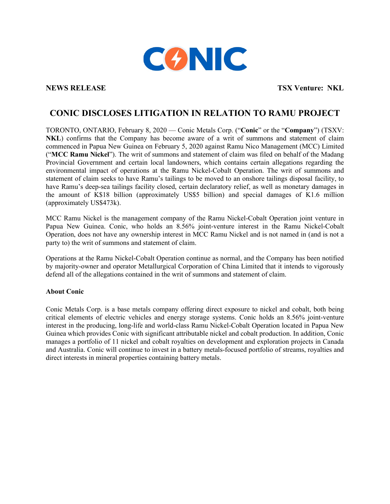

**NEWS RELEASE TSX Venture: NKL**

## **CONIC DISCLOSES LITIGATION IN RELATION TO RAMU PROJECT**

TORONTO, ONTARIO, February 8, 2020 — Conic Metals Corp. ("**Conic**" or the "**Company**") (TSXV: **NKL**) confirms that the Company has become aware of a writ of summons and statement of claim commenced in Papua New Guinea on February 5, 2020 against Ramu Nico Management (MCC) Limited ("**MCC Ramu Nickel**"). The writ of summons and statement of claim was filed on behalf of the Madang Provincial Government and certain local landowners, which contains certain allegations regarding the environmental impact of operations at the Ramu Nickel-Cobalt Operation. The writ of summons and statement of claim seeks to have Ramu's tailings to be moved to an onshore tailings disposal facility, to have Ramu's deep-sea tailings facility closed, certain declaratory relief, as well as monetary damages in the amount of K\$18 billion (approximately US\$5 billion) and special damages of K1.6 million (approximately US\$473k).

MCC Ramu Nickel is the management company of the Ramu Nickel-Cobalt Operation joint venture in Papua New Guinea. Conic, who holds an 8.56% joint-venture interest in the Ramu Nickel-Cobalt Operation, does not have any ownership interest in MCC Ramu Nickel and is not named in (and is not a party to) the writ of summons and statement of claim.

Operations at the Ramu Nickel-Cobalt Operation continue as normal, and the Company has been notified by majority-owner and operator Metallurgical Corporation of China Limited that it intends to vigorously defend all of the allegations contained in the writ of summons and statement of claim.

## **About Conic**

Conic Metals Corp. is a base metals company offering direct exposure to nickel and cobalt, both being critical elements of electric vehicles and energy storage systems. Conic holds an 8.56% joint-venture interest in the producing, long-life and world-class Ramu Nickel-Cobalt Operation located in Papua New Guinea which provides Conic with significant attributable nickel and cobalt production. In addition, Conic manages a portfolio of 11 nickel and cobalt royalties on development and exploration projects in Canada and Australia. Conic will continue to invest in a battery metals-focused portfolio of streams, royalties and direct interests in mineral properties containing battery metals.